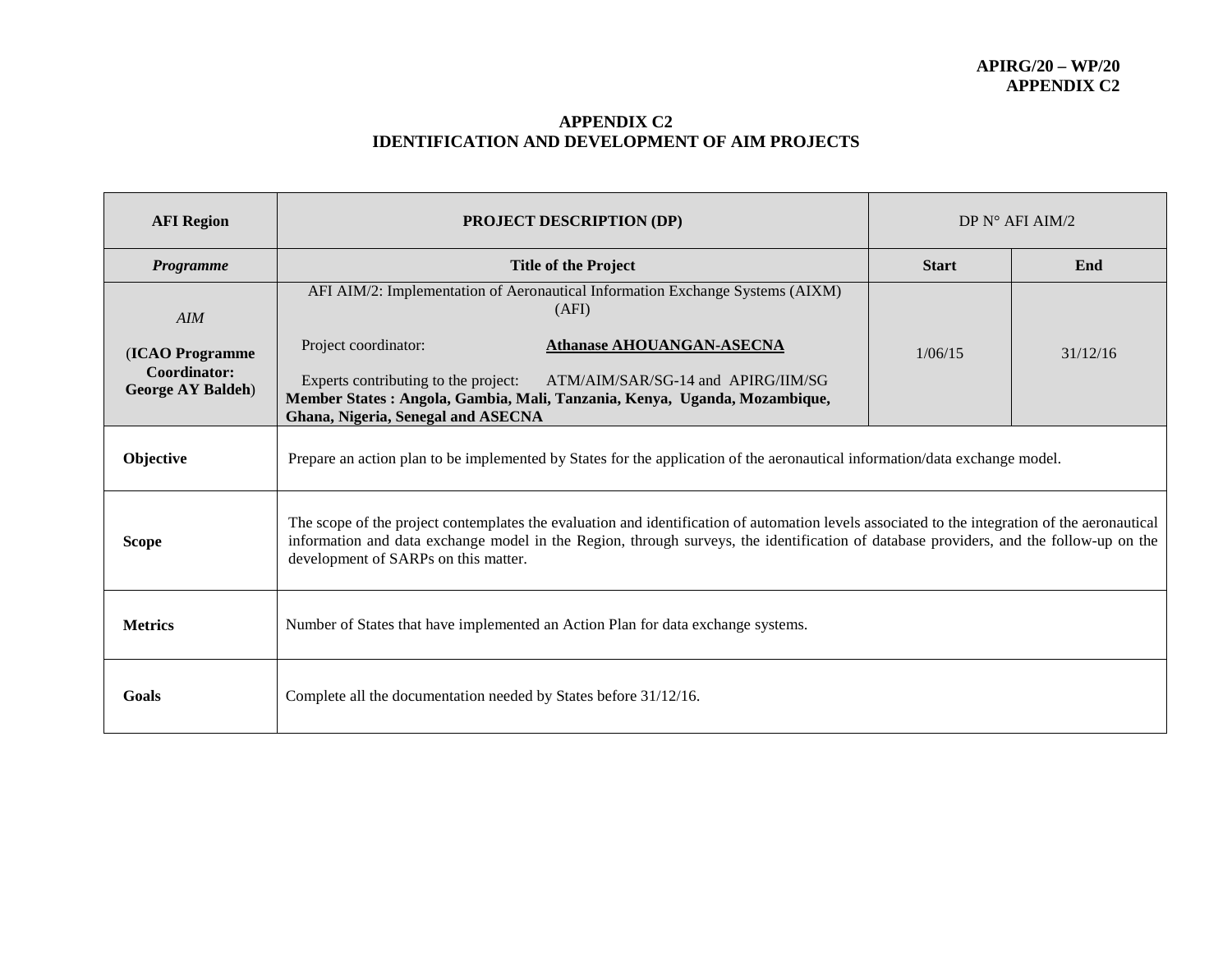## **APPENDIX C2 IDENTIFICATION AND DEVELOPMENT OF AIM PROJECTS**

| <b>AFI Region</b>                                            | <b>PROJECT DESCRIPTION (DP)</b>                                                                                                                                                                                                                                                                                                  | DP $N^{\circ}$ AFI AIM/2 |          |  |  |
|--------------------------------------------------------------|----------------------------------------------------------------------------------------------------------------------------------------------------------------------------------------------------------------------------------------------------------------------------------------------------------------------------------|--------------------------|----------|--|--|
| Programme                                                    | <b>Title of the Project</b>                                                                                                                                                                                                                                                                                                      | <b>Start</b>             | End      |  |  |
| AIM                                                          | AFI AIM/2: Implementation of Aeronautical Information Exchange Systems (AIXM)<br>(AFI)                                                                                                                                                                                                                                           |                          | 31/12/16 |  |  |
| (ICAO Programme<br>Coordinator:<br><b>George AY Baldeh</b> ) | Project coordinator:<br><b>Athanase AHOUANGAN-ASECNA</b><br>Experts contributing to the project:<br>ATM/AIM/SAR/SG-14 and APIRG/IIM/SG<br>Member States: Angola, Gambia, Mali, Tanzania, Kenya, Uganda, Mozambique,<br>Ghana, Nigeria, Senegal and ASECNA                                                                        | 1/06/15                  |          |  |  |
| Objective                                                    | Prepare an action plan to be implemented by States for the application of the aeronautical information/data exchange model.                                                                                                                                                                                                      |                          |          |  |  |
| <b>Scope</b>                                                 | The scope of the project contemplates the evaluation and identification of automation levels associated to the integration of the aeronautical<br>information and data exchange model in the Region, through surveys, the identification of database providers, and the follow-up on the<br>development of SARPs on this matter. |                          |          |  |  |
| <b>Metrics</b>                                               | Number of States that have implemented an Action Plan for data exchange systems.                                                                                                                                                                                                                                                 |                          |          |  |  |
| Goals                                                        | Complete all the documentation needed by States before 31/12/16.                                                                                                                                                                                                                                                                 |                          |          |  |  |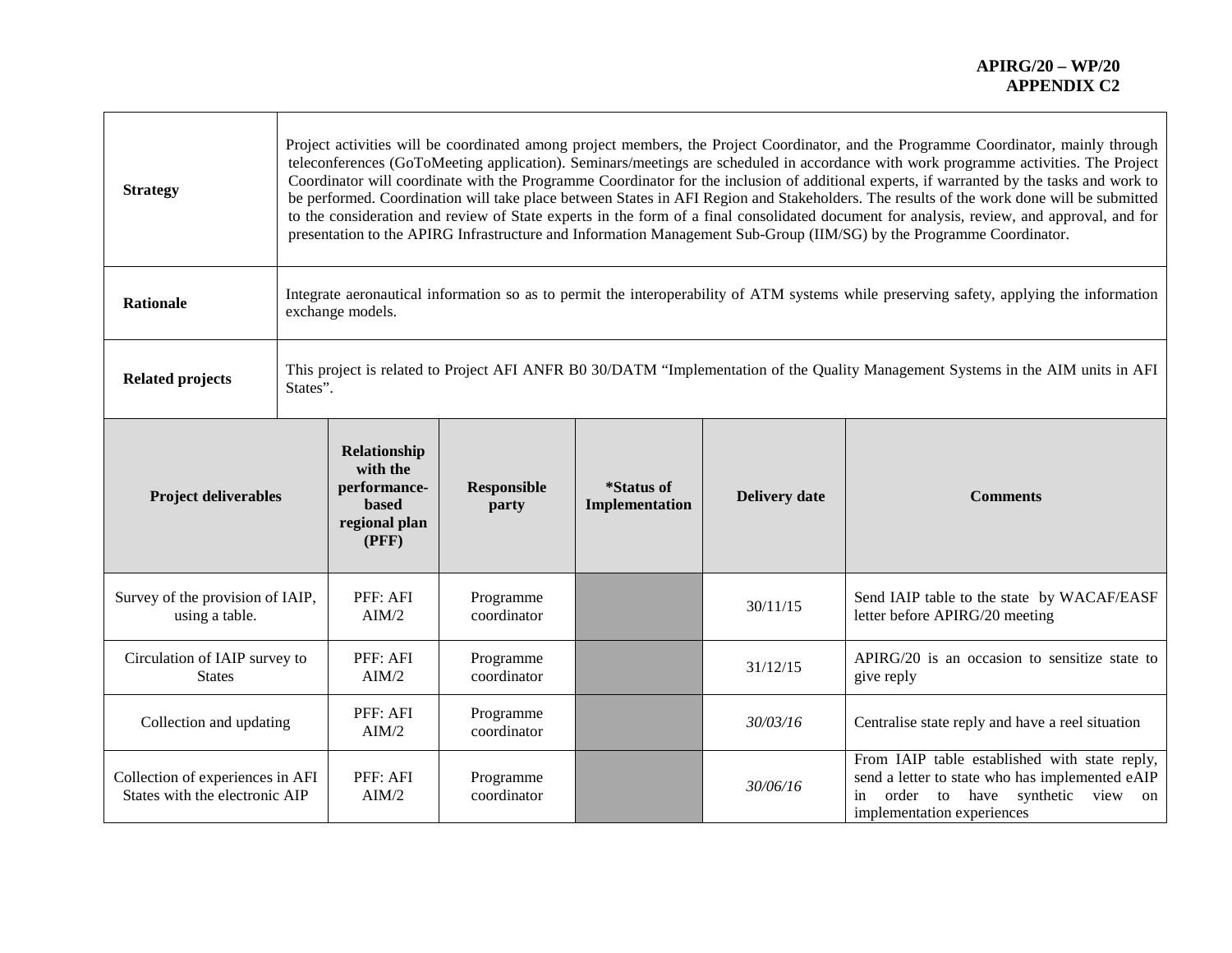┑

| <b>Strategy</b>                                                    | Project activities will be coordinated among project members, the Project Coordinator, and the Programme Coordinator, mainly through<br>teleconferences (GoToMeeting application). Seminars/meetings are scheduled in accordance with work programme activities. The Project<br>Coordinator will coordinate with the Programme Coordinator for the inclusion of additional experts, if warranted by the tasks and work to<br>be performed. Coordination will take place between States in AFI Region and Stakeholders. The results of the work done will be submitted<br>to the consideration and review of State experts in the form of a final consolidated document for analysis, review, and approval, and for<br>presentation to the APIRG Infrastructure and Information Management Sub-Group (IIM/SG) by the Programme Coordinator. |                                                                                    |                             |                              |                      |                                                                                                                                                                            |  |
|--------------------------------------------------------------------|--------------------------------------------------------------------------------------------------------------------------------------------------------------------------------------------------------------------------------------------------------------------------------------------------------------------------------------------------------------------------------------------------------------------------------------------------------------------------------------------------------------------------------------------------------------------------------------------------------------------------------------------------------------------------------------------------------------------------------------------------------------------------------------------------------------------------------------------|------------------------------------------------------------------------------------|-----------------------------|------------------------------|----------------------|----------------------------------------------------------------------------------------------------------------------------------------------------------------------------|--|
| <b>Rationale</b>                                                   | Integrate aeronautical information so as to permit the interoperability of ATM systems while preserving safety, applying the information<br>exchange models.                                                                                                                                                                                                                                                                                                                                                                                                                                                                                                                                                                                                                                                                               |                                                                                    |                             |                              |                      |                                                                                                                                                                            |  |
| <b>Related projects</b>                                            | This project is related to Project AFI ANFR B0 30/DATM "Implementation of the Quality Management Systems in the AIM units in AFI<br>States".                                                                                                                                                                                                                                                                                                                                                                                                                                                                                                                                                                                                                                                                                               |                                                                                    |                             |                              |                      |                                                                                                                                                                            |  |
| <b>Project deliverables</b>                                        |                                                                                                                                                                                                                                                                                                                                                                                                                                                                                                                                                                                                                                                                                                                                                                                                                                            | Relationship<br>with the<br>performance-<br><b>based</b><br>regional plan<br>(PFF) | <b>Responsible</b><br>party | *Status of<br>Implementation | <b>Delivery date</b> | <b>Comments</b>                                                                                                                                                            |  |
| Survey of the provision of IAIP,<br>using a table.                 |                                                                                                                                                                                                                                                                                                                                                                                                                                                                                                                                                                                                                                                                                                                                                                                                                                            | PFF: AFI<br>AIM/2                                                                  | Programme<br>coordinator    |                              | 30/11/15             | Send IAIP table to the state by WACAF/EASF<br>letter before APIRG/20 meeting                                                                                               |  |
| Circulation of IAIP survey to<br><b>States</b>                     |                                                                                                                                                                                                                                                                                                                                                                                                                                                                                                                                                                                                                                                                                                                                                                                                                                            | PFF: AFI<br>AIM/2                                                                  | Programme<br>coordinator    |                              | 31/12/15             | APIRG/20 is an occasion to sensitize state to<br>give reply                                                                                                                |  |
| Collection and updating                                            |                                                                                                                                                                                                                                                                                                                                                                                                                                                                                                                                                                                                                                                                                                                                                                                                                                            | PFF: AFI<br>AIM/2                                                                  | Programme<br>coordinator    |                              | 30/03/16             | Centralise state reply and have a reel situation                                                                                                                           |  |
| Collection of experiences in AFI<br>States with the electronic AIP |                                                                                                                                                                                                                                                                                                                                                                                                                                                                                                                                                                                                                                                                                                                                                                                                                                            | PFF: AFI<br>AIM/2                                                                  | Programme<br>coordinator    |                              | 30/06/16             | From IAIP table established with state reply,<br>send a letter to state who has implemented eAIP<br>order to have synthetic<br>view on<br>in<br>implementation experiences |  |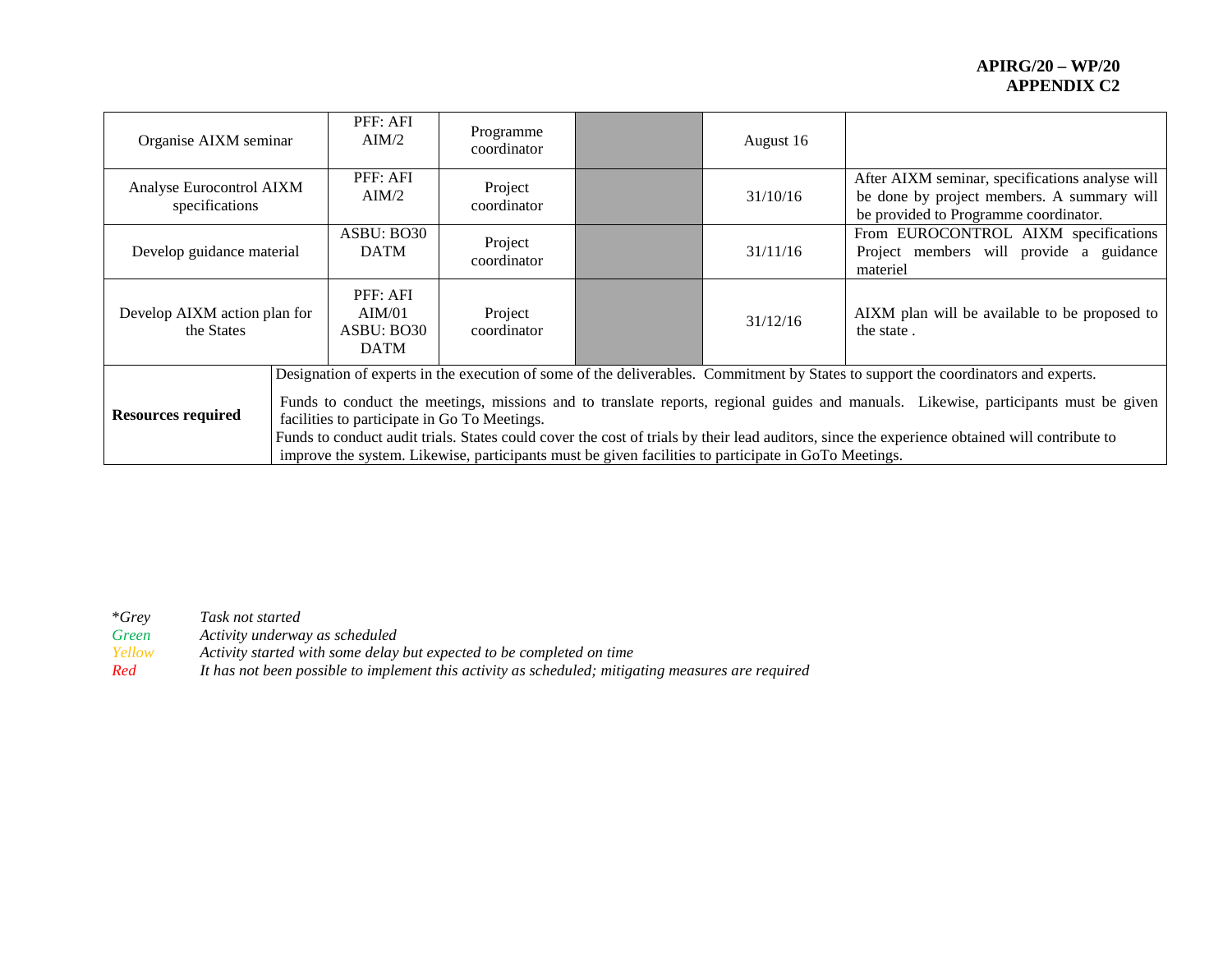| Organise AIXM seminar                      |                                                                                                                                                                                                                                                                                                                                                                                                                                                                                                                                                                                    | PFF: AFI<br>$\text{AIM}/2$                      | Programme<br>coordinator |  | August 16 |                                                                                                                                        |
|--------------------------------------------|------------------------------------------------------------------------------------------------------------------------------------------------------------------------------------------------------------------------------------------------------------------------------------------------------------------------------------------------------------------------------------------------------------------------------------------------------------------------------------------------------------------------------------------------------------------------------------|-------------------------------------------------|--------------------------|--|-----------|----------------------------------------------------------------------------------------------------------------------------------------|
| Analyse Eurocontrol AIXM<br>specifications |                                                                                                                                                                                                                                                                                                                                                                                                                                                                                                                                                                                    | PFF: AFI<br>AIM/2                               | Project<br>coordinator   |  | 31/10/16  | After AIXM seminar, specifications analyse will<br>be done by project members. A summary will<br>be provided to Programme coordinator. |
| Develop guidance material                  |                                                                                                                                                                                                                                                                                                                                                                                                                                                                                                                                                                                    | ASBU: BO30<br><b>DATM</b>                       | Project<br>coordinator   |  | 31/11/16  | From EUROCONTROL AIXM specifications<br>Project members will provide a guidance<br>materiel                                            |
| Develop AIXM action plan for<br>the States |                                                                                                                                                                                                                                                                                                                                                                                                                                                                                                                                                                                    | PFF: AFI<br>AIM/01<br>ASBU: BO30<br><b>DATM</b> | Project<br>coordinator   |  | 31/12/16  | AIXM plan will be available to be proposed to<br>the state.                                                                            |
| <b>Resources required</b>                  | Designation of experts in the execution of some of the deliverables. Commitment by States to support the coordinators and experts.<br>Funds to conduct the meetings, missions and to translate reports, regional guides and manuals. Likewise, participants must be given<br>facilities to participate in Go To Meetings.<br>Funds to conduct audit trials. States could cover the cost of trials by their lead auditors, since the experience obtained will contribute to<br>improve the system. Likewise, participants must be given facilities to participate in GoTo Meetings. |                                                 |                          |  |           |                                                                                                                                        |

\**Grey Task not started*

*Green Activity underway as scheduled*

*Yellow Activity started with some delay but expected to be completed on time*

*Red It has not been possible to implement this activity as scheduled; mitigating measures are required*